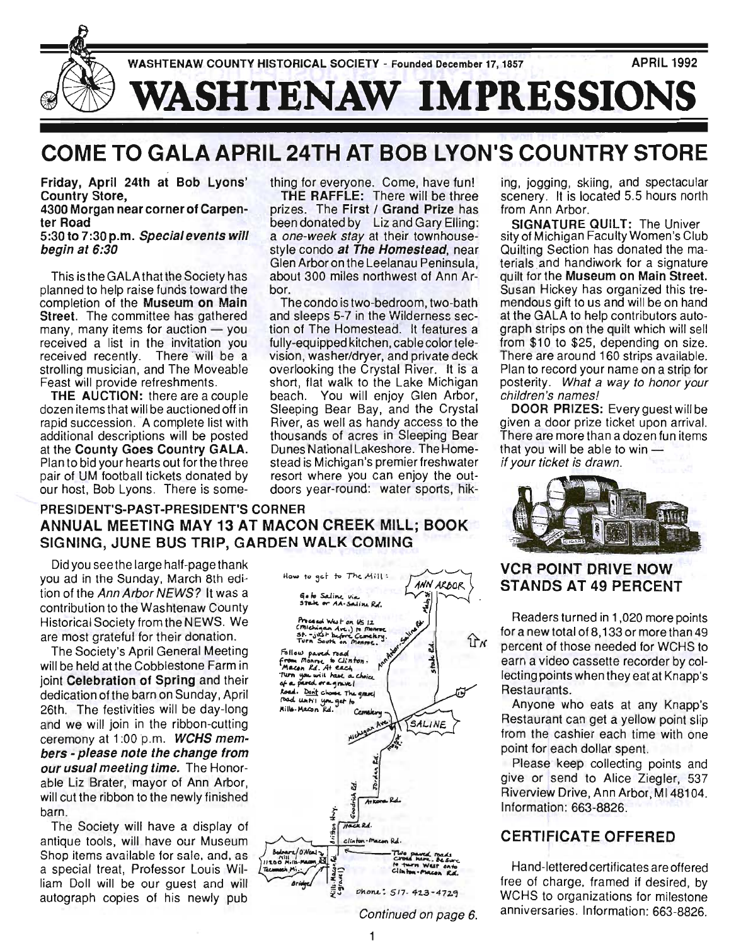

# **COME TO GALA APRIL 24TH AT BOB LYON'S COUNTRY STORE**

Friday, April 24th at Bob Lyons' Country Store,

#### 4300 Morgan near corner of Carpenter Road

#### 5:30 to 7:30 p.m. Special events will begin at 6:30

planned to help raise funds toward the bor. completion of the Museum on Main The condo is two-bedroom, two-bath Street. The committee has gathered and sleeps 5-7 in the Wilderness secmany, many items for auction  $-$  you tion of The Homestead. It features a received a list in the invitation you fully-equipped kitchen, cablecolortelereceived recently. There 'WiII be a vision, washer/dryer, and private deck strolling musician, and The Moveable overlooking the Crystal River. It is a

pair of UM football tickets donated by resort where you can enjoy the outour host, Bob Lyons. There is some- doors year-round: water sports, hik-

thing for everyone. Come, have fun!

THE RAFFLE: There will be three prizes. The First / Grand Prize has been donated by Liz and Gary Elling: a one-week stay at their townhousestyle condo at The Homestead, near Glen Arbor on the Leelanau Peninsula, This is the GALA that the Society has about 300 miles northwest of Ann Ar-

Feast will provide refreshments. short, flat walk to the Lake Michigan THE AUCTION: there are a couple beach. You will enjoy Glen Arbor, dozen items that will be auctioned off in Sleeping Bear Bay, and the Crystal rapid succession. A complete list with River, as well as handy access to the additional descriptions will be posted thousands of acres in Sleeping Bear at the County Goes Country GALA. Dunes National Lakeshore. The Home-Plan to bid your hearts out for the three stead is Michigan's premier freshwater

# PRESIDENT'S-PAST-PRESIDENT'S CORNER ANNUAL MEETING MAY 13 AT MACON CREEK MILL; BOOK SIGNING, JUNE BUS TRIP, GARDEN WALK COMING

Did you seethe large half-pagethank you ad in the Sunday, March 8th edition of the Ann Arbor NEWS? It was a contribution to the Washtenaw County Historical Society from the NEWS. We are most grateful for their donation.

The Society's April General Meeting will be held at the Cobblestone Farm in joint Celebration of Spring and their dedication of the barn on Sunday, April 26th. The festivities will be day-long and we will join in the ribbon-cutting ceremony at 1:00 p.m. WCHS members - please note the change from our usual meeting time. The Honorable Liz Brater, mayor of Ann Arbor, will cut the ribbon to the newly finished barn.

The Society will have a display of antique tools, will have our Museum Shop items available for sale, and, as a special treat, Professor Louis William Doll will be our guest and will autograph copies of his newly pub

| How to get to The Mill:<br><b>ANN ARBOR</b>                                                                                |
|----------------------------------------------------------------------------------------------------------------------------|
| Go to Saling Via<br>Stale or AA-Saline Rd.                                                                                 |
| Proceed West on US 12<br>Cimichigan Ave.) to monroe<br>st. - just before Cemekry.<br>Turn South on Menroe.                 |
| Ann Arien Suice 8<br>J<br>Follow pared road<br>from Monroe to Clinton.<br>Macon Rd. At each<br>Turn you will have a choice |
| of a pared or a grave!<br>Road. Don't choose The graves<br>road until you get to                                           |
| Mills Macon Rd.<br>Cemetery<br>SALINE                                                                                      |
| Michigan Ave.                                                                                                              |
| J                                                                                                                          |
| Jorden                                                                                                                     |
| Goodrich Ed                                                                                                                |
| dritton Hwy<br>Hack Rd.                                                                                                    |
| clinton-macon Rd.<br>Bedrarz/O'Neal                                                                                        |
| Two pared roads<br>CITORE MAPE. BESURE<br>Ø<br>11300<br>to turn West onto<br>Tecumush Mi<br>Clinton-Macon Rd.              |
| Mills-Maconfel<br>Legrane<br><b>Aridge</b>                                                                                 |
| phone: 517.423-4729                                                                                                        |

ing, jogging, skiing, and spectacular scenery. It is located 5.5 hours north from Ann Arbor.

SIGNATURE QUILT: The Univer sity of Michigan Faculty Women's Club Quilting Section has donated the materials and handiwork for a signature quilt for the Museum on Main Street. Susan Hickey has organized this tremendous gift to us and will be on hand at the GALA to help contributors autograph strips on the quilt which will sell from \$10 to \$25, depending on size. There are around 160 strips available. Plan to record your name on a strip for posterity. What a way to honor your children's names!

DOOR PRIZES: Every guest will be given a door prize ticket upon arrival. There are more than a dozen fun items that you will be able to win  $$ if your ticket is drawn.



# **VCR POINT DRIVE NOW** STANDS AT 49 PERCENT

Readers turned in 1,020 more points for a new total of 8,133 or more than 49 percent of those needed for WCHS to earn a video cassette recorder by collecting points when they eat at Knapp's Restaurants.

Anyone who eats at any Knapp's Restaurant can get a yellow point slip from the cashier each time with one point for each dollar spent.

Please keep collecting points and give or send to Alice Ziegler, 537 Riverview Drive, Ann Arbor, MI 48104. Information: 663-8826.

# CERTIFICATE OFFERED

Hand-lettered certificates are offered free of charge. framed if desired, by WCHS to organizations for milestone anniversaries. Information: 663-8826.

Continued on page 6.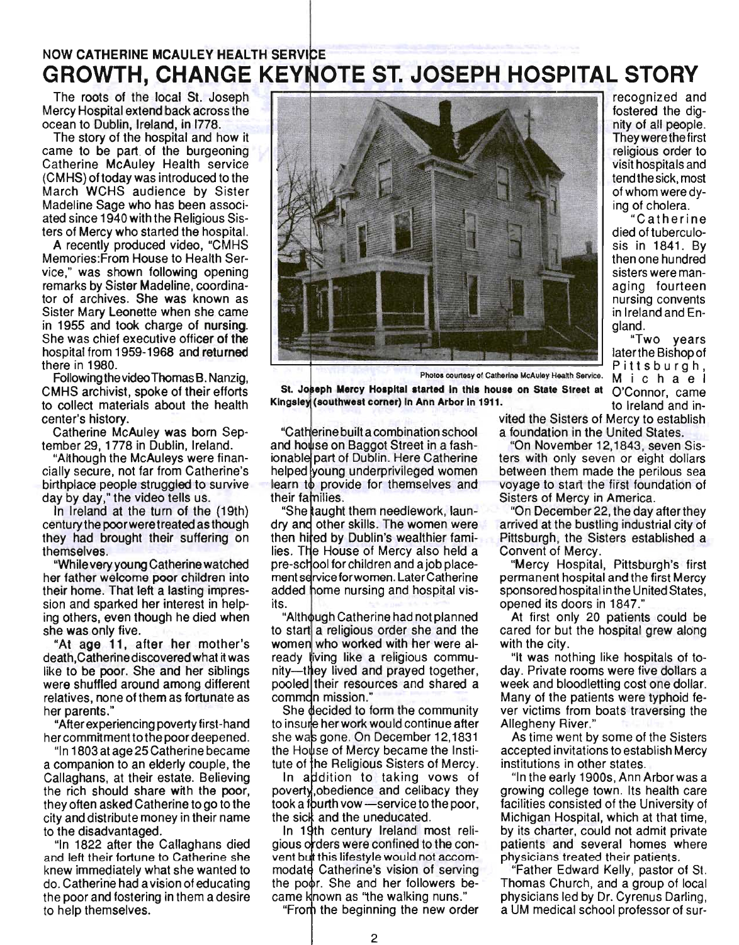# NOW CATHERINE MCAULEY HEALTH GROWTH, CHANGE KEYNOTE ST. JOSEPH HOSPITAL STORY The roots of the local St. Joseph **Figure 1998** recognized and

Mercy Hospital extend back across the ocean to Dublin, Ireland, in 1778.

The story of the hospital and how it came to be part of the burgeoning Catherine McAuley Health service (CMHS) oftoday was introduced to the March WCHS audience by Sister Madeline Sage who has been associated since 1940 with the Religious Sisters of Mercy who started the hospital.

A recently produced video, "CMHS Memories:From House to Health Service," was shown following opening remarks by Sister Madeline, coordinator of archives. She was known as Sister Mary Leonette when she came in 1955 and took charge of nursing. She was chief executive officer of the hospital from 1959-1968 and returned there in 1980.

Following the video Thomas B. Nanzig, CMHS archivist, spoke of their efforts to collect materials about the health center's history.

Catherine McAuley was born September 29, 1778 in Dublin, Ireland.

"Although the McAuleys were financially secure, not far from Catherine's birthplace people struggled to survive day by day," the video tells us.

In Ireland at the turn of the (19th) century the poor were treated as though they had brought their suffering on themselves.

"While very young Catherine watched her father welcome poor children into their home. That left a lasting impression and sparked her interest in helping others, even though he died when she was only five.

"At age 11, after her mother's death,Catherinediscovered what it was like to be poor. She and her siblings were shuffled around among different relatives, none of them as fortunate as her parents."

"After experiencing poverty first -hand her commitment to the poor deepened.

"In 1803 at age 25 Catherine became a companion to an elderly couple, the Callaghans, at their estate. Believing the rich should share with the poor, they often asked Catherine to go to the city and distribute money in their name to the disadvantaged.

"In 1822 after the Callaghans died and left their fortune to Catherine she knew immediately what she wanted to do. Catherine had a vision of educating the poor and fostering in them a desire to help themselves.



Pittsburgh, Photos counesy of catherine McAuley Health Service. M i c h a e I

St. Joseph Mercy Hospital started in this house on State Street at O'Connor, came Kingsley (southwest corner) in Ann Arbor in 1911. to Ireland and in-

"Catherine built a combination school a foundation in the United States. and house on Baggot Street in a fash-<br>
"On November 12,1843, seven Sisionable part of Dublin. Here Catherine helped young underprivileged women between them made the perilous sea learn to provide for themselves and voyage to start the first foundation of their families.

She taught them needlework, laundry and other skills. The women were then hired by Dublin's wealthier families. The House of Mercy also held a pre-school for children and a job placement service for women. Later Catherine added home nursing and hospital visits.

"Although Catherine had not planned to start a religious order she and the women who worked with her were already fiving like a religious community—they lived and prayed together, pooled their resources and shared a commdn mission."

She decided to form the community to insure her work would continue after she was gone. On December 12,1831 the House of Mercy became the Institute of the Religious Sisters of Mercy.

In addition to taking vows of poverty obedience and celibacy they took a fourth vow - service to the poor, the sick and the uneducated.

In 19th century Ireland most religious orders were confined to the convent but this lifestyle would not accommodate Catherine's vision of serving the poor. She and her followers became known as "the walking nuns." "From the beginning the new order

2

vited the Sisters of Mercy to establish

gland.

fostered the dignity of all people. They were the first religious order to visit hospitals and tend the sick, most of whom were dying of cholera.

"Catherine died of tuberculosis in 1841. By then one hundred sisters were managing fourteen nursing convents in Ireland and En-

"Two years later the Bishop of

ters with only seven or eight dollars Sisters of Mercy in America.

"On December 22, the day after they arrived at the bustling industrial city of Pittsburgh, the Sisters established a Convent of Mercy.

"Mercy Hospital, Pittsburgh's first permanent hospital and the first Mercy sponsored hospital in the United States, opened its doors in 1847."

At first only 20 patients could be cared for but the hospital grew along with the city.

"It was nothing like hospitals of today. Private rooms were five dollars a week and bloodletting cost one dollar. Many of the patients were typhoid fever victims from boats traversing the Allegheny River."

As time went by some of the Sisters accepted invitations to establish Mercy institutions in other states.

"In the early 1900s, Ann Arbor was a growing college town. Its health care facilities consisted of the University of Michigan Hospital, which at that time, by its charter, could not admit private patients and several homes where physicians treated their patients.

"Father Edward Kelly, pastor of St. Thomas Church, and a group of local physicians led by Dr. Cyrenus Darling, a UM medical school professor of sur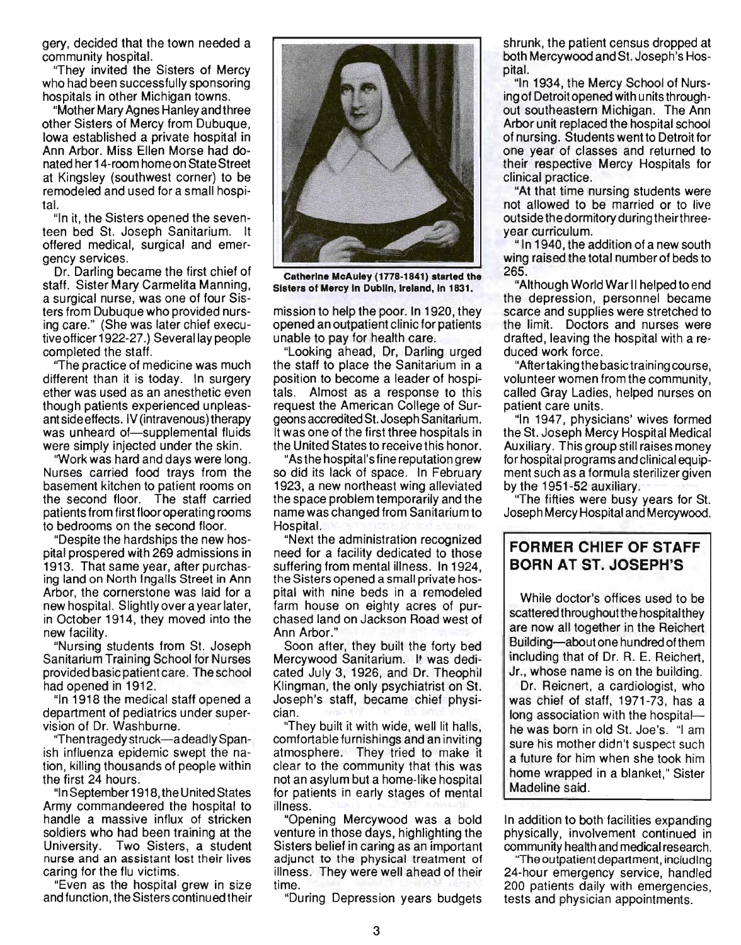gery, decided that the town needed a community hospital.

''They invited the Sisters of Mercy who had been successfully sponsoring hospitals in other Michigan towns.

"Mother Mary Agnes Hanley and three other Sisters of Mercy from Dubuque, Iowa established a private hospital in Ann Arbor. Miss Ellen Morse had donated her 14-room home on State Street at Kingsley (southwest corner) to be remodeled and used for a small hospital.

"In it, the Sisters opened the seventeen bed S1. Joseph Sanitarium. It offered medical, surgical and emergency services.

Dr. Darling became the first chief of staff. Sister Mary Carmelita Manning, a surgical nurse, was one of four Sisters from Dubuque who provided nursing care." (She was later chief executive officer 1922-27.) Several lay people completed the staff.

"The practice of medicine was much different than it is today. In surgery ether was used as an anesthetic even though patients experienced unpleasant side effects. IV (intravenous) therapy was unheard of-supplemental fluids were simply injected under the skin.

"Work was hard and days were long. Nurses carried food trays from the basement kitchen to patient rooms on the second floor. The staff carried patients from first floor operating rooms to bedrooms on the second floor.

"Despite the hardships the new hospital prospered with 269 admissions in 1913. That same year, after purchasing land on North Ingalls Street in Ann Arbor, the cornerstone was laid for a new hospital. Slightly over a year later, in October 1914, they moved into the new facility.

"Nursing students from S1. Joseph Sanitarium Training School for Nurses provided basic patient care. The school had opened in 1912.

"In 1918 the medical staff opened a department of pediatrics under supervision of Dr. Washburne.

''Then tragedy struck-a deadly Spanish influenza epidemic swept the nation, killing thousands of people within the first 24 hours.

"In September 1918, the United States Army commandeered the hospital to handle a massive influx of stricken soldiers who had been training at the University. Two Sisters, a student nurse and an assistant lost their lives caring for the flu victims.

"Even as the hospital grew in size and function, the Sisters continued their



Catherine McAuley (1778-1841) started the Sisters of Mercy In Dublin, Ireland, In 1831.

mission to help the poor. In 1920, they opened an outpatient clinic for patients unable to pay for health care.

"Looking ahead, Dr, Darling urged the staff to place the Sanitarium in a position to become a leader of hospitals. Almost as a response to this request the American College of Surgeons accredited St. Joseph Sanitarium. It was one of the first three hospitals in the United States to receive this honor.

"As the hospital's fine reputation grew so did its lack of space. In February 1923, a new northeast wing alleviated the space problem temporarily and the name was changed from Sanitarium to Hospital.

"Next the administration recognized need for a facility dedicated to those suffering from mental illness. In 1924, the Sisters opened a small private hospital with nine beds in a remodeled farm house on eighty acres of purchased land on Jackson Road west of Ann Arbor."

Soon after, they built the forty bed Mercywood Sanitarium. It was dedicated July 3, 1926, and Dr. Theophil Klingman, the only psychiatrist on S1. Joseph's staff, became chief physician.

"They built it with wide, well lit halls, comfortable furnishings and an inviting atmosphere. They tried to make it clear to the community that this was not an asylum but a home-like hospital for patients in early stages of mental illness.

"Opening Mercywood was a bold venture in those days, highlighting the Sisters belief in caring as an important adjunct to the physical treatment of illness. They were well ahead of their time.

"During Depression years budgets

shrunk, the patient census dropped at both Mercywood and S1. Joseph's Hospital.

"In 1934, the Mercy School of Nursing of Detroit opened with units throughout southeastern Michigan. The Ann Arbor unit replaced the hospital school of nursing. Students went to Detroit for one year of classes and returned to their respective Mercy Hospitals for clinical practice.

"At that time nursing students were not allowed to be married or to live outside the dormitory during theirthreeyear curriculum.

"In 1940, the addition of a new south wing raised the total number of beds to 265.

"Although World War II helped to end the depression, personnel became scarce and supplies were stretched to the limit. Doctors and nurses were drafted, leaving the hospital with a reduced work force.

"After taking the basic training course, volunteer women from the community, called Gray Ladies, helped nurses on patient care units.

"In 1947, physicians' wives formed the St. Joseph Mercy Hospital Medical Auxiliary. This group still raises money for hospital programs and clinical equipment such as a formula sterilizer given by the 1951-52 auxiliary.

"The fifties were busy years for S1. Joseph Mercy Hospital and Mercywood.

# FORMER CHIEF OF STAFF BORN AT ST. JOSEPH'S

While doctor's offices used to be scattered throughout the hospital they are now all together in the Reichert Building-about one hundred of them including that of Dr. R. E. Reichert, Jr., whose name is on the building.

Dr. Reicnert, a cardiologist, who was chief of staff, 1971-73, has a long association with the hospitalhe was born in old St. Joe's. "I am sure his mother didn't suspect such a future for him when she took him home wrapped in a blanket," Sister Madeline said.

In addition to both facilities expanding physically, involvement continued in community health and medical research.

"The outpatient department, including 24-hour emergency service, handled 200 patients daily with emergencies, tests and physician appointments.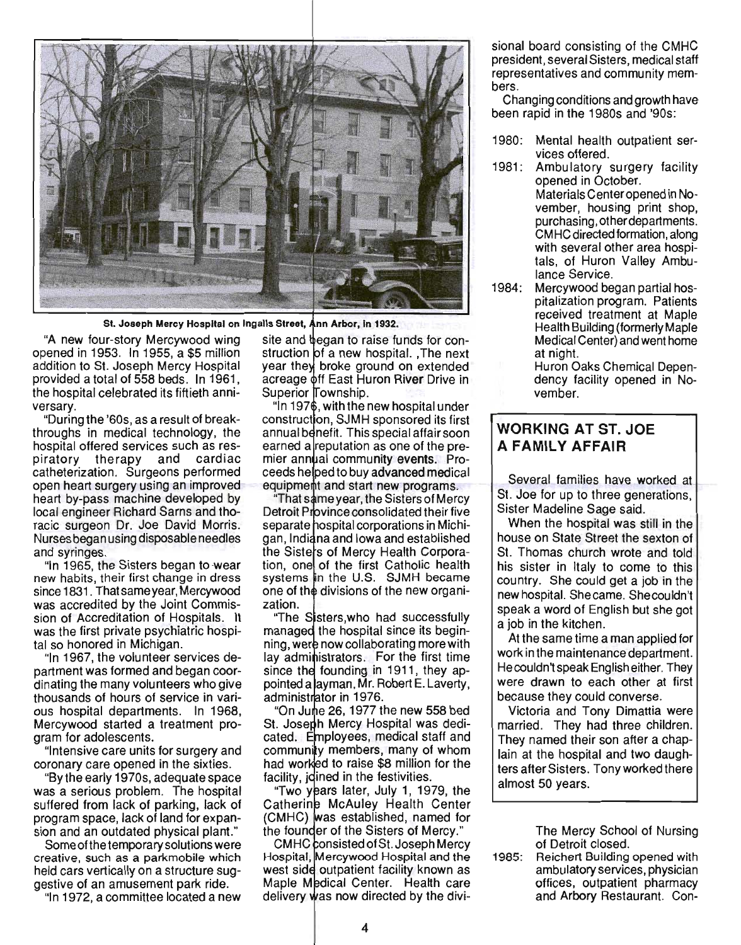

St. Joseph Mercy Hospital on Ingalls Street, Ann Arbor, in 1932.

"A new four-story Mercywood wing opened in 1953. In 1955, a \$5 million addition to St. Joseph Mercy Hospital provided a total of 558 beds. In 1961, the hospital celebrated its fiftieth anniversary.

"During the '60s, as a result of breakthroughs in medical technology, the hospital offered services such as respiratory therapy and cardiac catheterization. Surgeons performed open heart surgery using an improvedheart by-pass machine developed by local engineer Richard Sarns and thoracic surgeon Dr. Joe David Morris. Nurses began using disposable needles and syringes.

"In 1965, the Sisters began to wear new habits, their first change in dress since 1831 . That same year, Mercywood was accredited by the Joint Commission of Accreditation of Hospitals. It was the first private psychiatric hospital so honored in Michigan.

"In 1967, the volunteer services department was formed and began coordinating the many volunteers who give thousands of hours of service in various hospital departments. In 1968, Mercywood started a treatment program for adolescents.

"Intensive care units for surgery and coronary care opened in the sixties.

"By the early 1970s, adequate space was a serious problem. The hospital suffered from lack of parking, lack of program space, lack of land for expansion and an outdated physical plant."

Some of the temporary solutions were creative, such as a parkmobile which held cars vertically on a structure suggestive of an amusement park ride.

"In 1972, a committee located a new

site and began to raise funds for construction of a new hospital. , The next year they broke ground on extended acreage off East Huron River Drive in Superior Township.

 $\lq$  in 1976, with the new hospital under construction, SJMH sponsored its first annual benefit. This special affair soon earned a reputation as one of the premier annual community events. Proceeds helped to buy advanced medical equipment and start new programs.

"That same year, the Sisters of Mercy Detroit Province consolidated their five separate hospital corporations in Michigan, Indiana and Iowa and established the Sisters of Mercy Health Corporation, one of the first Catholic health systems in the U.S. SJMH became one of the divisions of the new organization.

"The Sisters, who had successfully managed the hospital since its beginning, were now collaborating more with lay administrators. For the first time since the founding in 1911, they appointed a layman, Mr. Robert E. Laverty, administrator in 1976.

"On June 26, 1977 the new 558 bed St. Joseph Mercy Hospital was dedicated. Employees, medical staff and community members, many of whom had worked to raise \$8 million for the facility, idined in the festivities.

"Two years later, July 1, 1979, the Catherine McAuley Health Center (CMHC) was established, named for the founder of the Sisters of Mercy."

CMHC consisted of St. Joseph Mercy Hospital, Mercywood Hospital and the west side outpatient facility known as Maple Medical Center. Health care delivery was now directed by the divisional board consisting of the CMHC president, several Sisters, medical staff representatives and community members.

Changing conditions and growth have been rapid in the 1980s and '90s:

- 1980: Mental health outpatient services offered.
- 1981: Ambulatory surgery facility opened in October. Materials Center opened in November, housing print shop, purchasing, other departments. CMHC directed formation, along with several other area hospitals, of Huron Valley Ambulance Service.
- 1984: Mercywood began partial hospitalization program. Patients received treatment at Maple Health Building (formerly Maple Medical Center) and went home at night.

Huron Oaks Chemical Dependency facility opened in November.

# **WORKING AT ST. JOE A FAMILY AFFAIR**

Several families have worked at St. Joe for up to three generations, Sister Madeline Sage said.

When the hospital was still in the house on State Street the sexton of St. Thomas church wrote and told his sister in Italy to come to this country. She could get a job in the new hospital. She came. Shecouldn't speak a word of English but she got a job in the kitchen.

At the same time a man applied for work in the maintenance department. Hecouldn't speak English either. They were drawn to each other at first because they could converse.

Victoria and Tony Dimattia were married. They had three children. They named their son after a chaplain at the hospital and two daughters after Sisters. Tony worked there almost 50 years.

> The Mercy School of Nursing of Detroit closed.

1985: Reichert Building opened with ambulatory services, physician offices, outpatient pharmacy and Arbory Restaurant. Con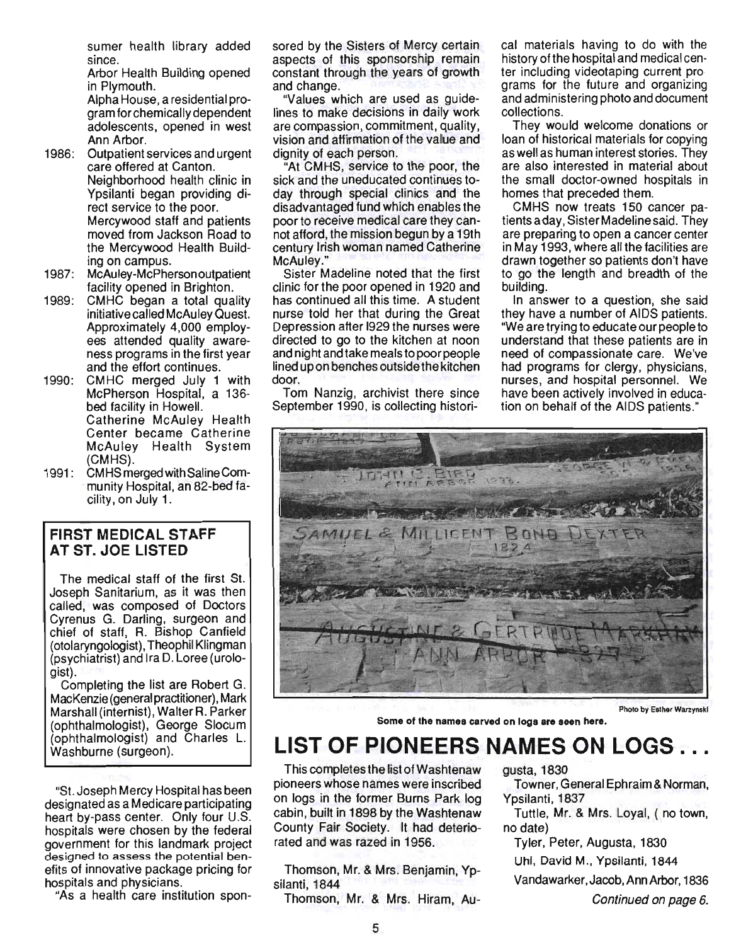sumer health library added since.

Arbor Health Building opened in Plymouth. Alpha House, a residential program for chemically dependent

adolescents, opened in west Ann Arbor.

- 1986: Outpatient services and urgent care offered at Canton. Neighborhood health clinic in Ypsilanti began providing direct service to the poor. Mercywood staff and patients moved from Jackson Road to the Mercywood Health Building on campus.
- 1987: McAuley-McPherson outpatient facility opened in Brighton.
- 1989: CMHC began a total quality initiative called McAuley Quest. Approximately 4,000 employees attended quality awareness programs in the first year and the effort continues.
- 1990: CMHC merged July 1 with McPherson Hospital, a 136 bed facility in Howell. Catherine McAuley Health Center became Catherine McAuley Health System (CMHS).
- 1991: CMHSmergedwithSalineCommunity Hospital, an 82-bed facility, on July 1.

## FIRST MEDICAL STAFF AT ST. JOE LISTED

The medical staff of the first St. Joseph Sanitarium, as it was then called, was composed of Doctors Cyrenus G. Darling, surgeon and chief of staff, R. Bishop Canfield (otolaryngologist), Theophil Klingman (psychiatrist) and Ira D. Loree (urologist).

Completing the list are Robert G. MacKenzie (general practitioner), Mark Marshall (internist). Walter R. Parker (ophthalmologist), George Slocum (ophthalmologist) and Charles L. Washburne (surgeon).

"St. Joseph Mercy Hospital has been designated as a Medicare participating heart by-pass center. Only four U.S. hospitals were chosen by the federal government for this landmark project designed to assess the potential benefits of innovative package pricing for hospitals and physicians.

"As a health care institution spon-

sored by the Sisters of Mercy certain aspects of this sponsorship remain constant through the years of growth and change.

"Values which are used as guidelines to make decisions in daily work are compassion, commitment, quality, vision and affirmation of the value and dignity of each person.

"At CMHS, service to the poor, the sick and the uneducated continues today through special clinics and the disadvantaged fund which enables the poor to receive medical care they cannot afford, the mission begun by a 19th century Irish woman named Catherine McAuley."

Sister Madeline noted that the first clinic for the poor opened in 1920 and has continued all this time. A student nurse told her that during the Great Depression after 1929 the nurses were directed to go to the kitchen at noon and night and take meals to poor people lined up on benches outside the kitchen door.

Tom Nanzig, archivist there since September 1990, is collecting historical materials having to do with the history of the hospital and medical center including videotaping current programs for the future and organizing and administering photo and document collections.

They would welcome donations or loan of historical materials for copying as well as human interest stories. They are also interested in material about the small doctor-owned hospitals in homes that preceded them.

CMHS now treats 150 cancer patients a day, Sister Madeline said. They are preparing to open a cancer center in May 1993, where all the facilities are drawn together so patients don't have to go the length and breadth of the building.

In answer to a question, she said they have a number of AIDS patients. "We are trying to educate our people to understand that these patients are in need of compassionate care. We've had programs for clergy, physicians, nurses, and hospital personnel. We have been actively involved in education on behalf of the AIDS patients."



Some of the namea carved on logs are seen here.

# **LIST OF PIONEERS NAMES ON LOGS ...**

This completes the list of Washtenaw pioneers whose names were inscribed on logs in the former Burns Park log cabin, built in 1898 by the Washtenaw County Fair Society. It had deteriorated and was razed in 1956.

Thomson, Mr. & Mrs. Benjamin, Ypsilanti, 1844

Thomson, Mr. & Mrs. Hiram, Au-

gusta, 1830

Towner, General Ephraim & Norman, Ypsilanti, 1837

Tuttle, Mr. & Mrs. Loyal, ( no town, no date)

Tyler, Peter, Augusta, 1830

Uhl, David M., Ypsilanti, 1844

Vandawarker, Jacob, Ann Arbor, 1836

Continued on page 6.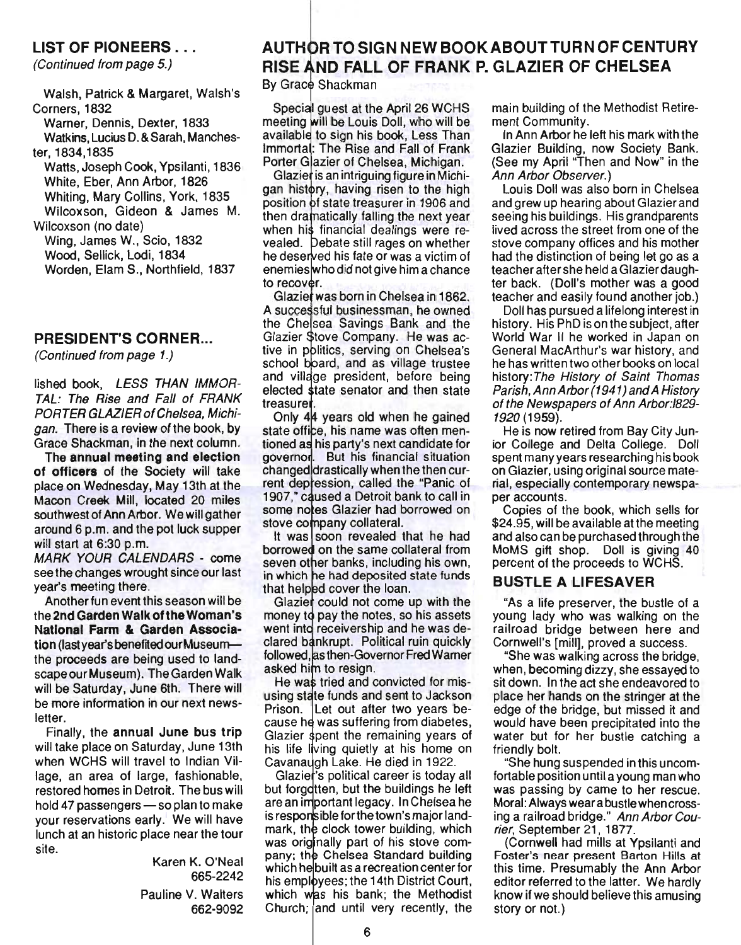#### LIST OF PIONEERS ...

(Continued from page 5.)

Walsh, Patrick & Margaret, Walsh's Corners, 1832

Warner, Dennis, Dexter, 1833

Watkins, Lucius D. & Sarah, Manchester, 1834,1835

Watts, Joseph Cook, Ypsilanti, 1836 White, Eber, Ann Arbor, 1826 Whiting, Mary Collins, York, 1835 Wilcoxson, Gideon & James M.

Wilcoxson (no date) Wing, James W., Scio, 1832 Wood, Sellick, Lodi, 1834 Worden, Elam S., Northfield, 1837

#### PRESIDENT'S CORNER...

(Continued from page 1.)

lished book, LESS THAN IMMOR-TAL: The Rise and Fall of FRANK PORTER GLAZIER of Chelsea, Michigan. There is a review of the book, by Grace Shackman, in the next column.

The annual meeting and election of officers of the Society will take place on Wednesday, May 13th at the Macon Creek Mill, located 20 miles southwest of Ann Arbor. We will gather around 6 p.m. and the pot luck supper will start at 6:30 p.m.

MARK YOUR CALENDARS - come see the changes wrought since our last year's meeting there.

Another fun event this season will be the 2nd Garden Walk of the Woman's National Farm & Garden Association (last year's benefited our Museumthe proceeds are being used to landscape our Museum). The Garden Walk will be Saturday, June 6th. There will be more information in our next newsletter.

Finally, the annual June bus trip will take place on Saturday, June 13th when WCHS will travel to Indian Village, an area of large, fashionable, restored homes in Detroit. The bus will hold 47 passengers  $-$  so plan to make your reservations early. We will have lunch at an historic place near the tour site.

> Karen K. O'Neal 665-2242 Pauline V. Walters 662-9092

# AUTHOR TO SIGN NEW BOOK ABOUT TURN OF CENTURY RISE AND FALL OF FRANK P. GLAZIER OF CHELSEA

By Grace Shackman

Special guest at the April 26 WCHS meeting will be Louis Doll, who will be available to sign his book, Less Than Immortal: The Rise and Fall of Frank Porter Glazier of Chelsea, Michigan.

Glazier is an intriguing figure in Michigan history, having risen to the high position of state treasurer in 1906 and then dramatically falling the next year when his financial dealings were revealed. Debate still rages on whether he deserved his fate or was a victim of enemies who did not give him a chance to recover.

Glazier was born in Chelsea in 1862. A successful businessman, he owned the Chelsea Savings Bank and the Glazier Stove Company. He was active in politics, serving on Chelsea's school board, and as village trustee and village president, before being elected state senator and then state treasurer.

Only 44 years old when he gained state office, his name was often mentioned as his party's next candidate for governor. But his financial situation changed drastically when the then current depression, called the "Panic of 1907," caused a Detroit bank to call in some notes Glazier had borrowed on stove company collateral.

It was soon revealed that he had borrowed on the same collateral from seven other banks, including his own, in which he had deposited state funds that helped cover the loan.

Glazier could not come up with the money to pay the notes, so his assets went into receivership and he was declared bankrupt. Political ruin quickly followed, as then-Governor Fred Warner asked him to resign.

He was tried and convicted for misusing state funds and sent to Jackson Prison. Let out after two years because he was suffering from diabetes, Glazier spent the remaining years of his life living quietly at his home on Cavanaugh Lake. He died in 1922.

Glazier's political career is today all but forgdtten, but the buildings he left are an important legacy. In Chelsea he is responsible for the town's major landmark, the clock tower building, which was originally part of his stove company; the Chelsea Standard building which he built as a recreation center for his employees; the 14th District Court, which was his bank; the Methodist Church; and until very recently, the

main building of the Methodist Retirement Community.

In Ann Arbor he left his mark with the Glazier Building, now Society Bank. (See my April "Then and Now" in the Ann Arbor Observer.)

Louis Doll was also born in Chelsea and grew up hearing about Glazier and seeing his buildings. His grandparents lived across the street from one of the stove company offices and his mother had the distinction of being let go as a teacher after she held a Glazier daughter back. (Doll's mother was a good teacher and easily found another job.)

Doll has pursued a lifelong interest in history. His PhD is on the subject, after World War II he worked in Japan on General MacArthur's war history, and he has written two other books on local history: The History of Saint Thomas Parish, Ann Arbor (1941) and A History of the Newspapers of Ann Arbor:1829- 1920 (1959).

He is now retired from Bay City Junior College and Delta College. Doll spent many years researching his book on Glazier, using original source material, especially contemporary newspaper accounts.

Copies of the book, which sells for \$24.95, will be available at the meeting and also can be purchased through the MoMS gift shop. Doll is giving 40 percent of the proceeds to WCHS.

#### BUSTLE A LIFESAVER

"As a life preserver, the bustle of a young lady who was walking on the railroad bridge between here and Cornwell's [mill], proved a success.

"She was walking across the bridge, when, becoming dizzy, she essayed to sit down. In the act she endeavored to place her hands on the stringer at the edge of the bridge, but missed it and would have been precipitated into the water but for her bustle catching a friendly bolt.

"She hung suspended in this uncomfortable position until a young man who was passing by came to her rescue. Moral: Always wear a bustle when crossing a railroad bridge." Ann Arbor Courier, September 21, 1877.

(Cornwell had mills at Ypsilanti and Foster's near present Barton Hills at this time. Presumably the Ann Arbor editor referred to the latter. We hardly know if we should believe this amusing story or not.)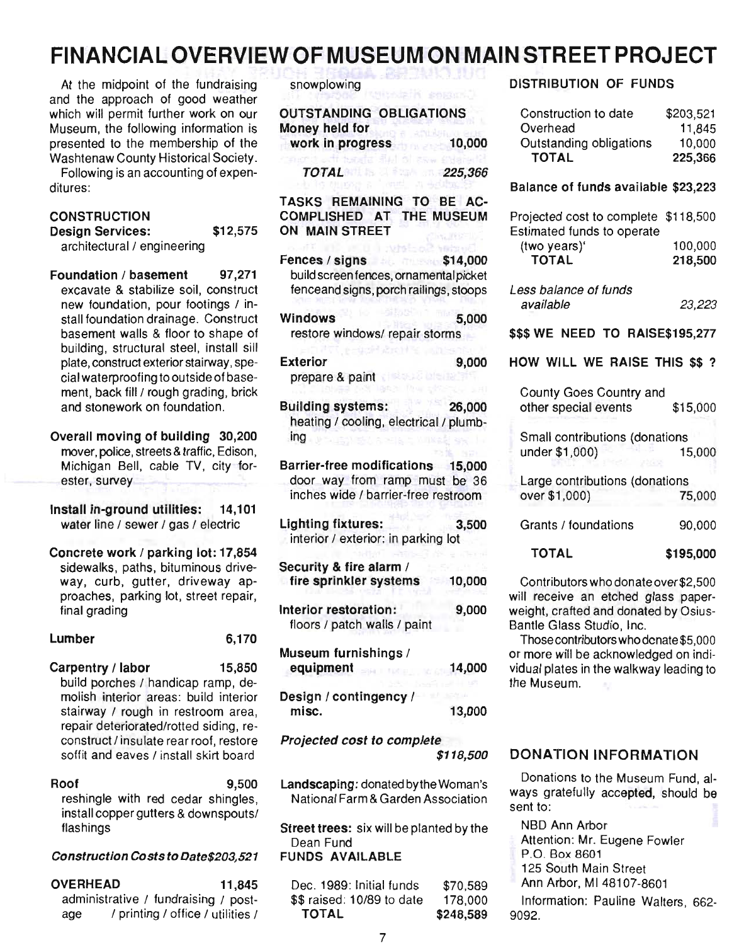# **FINANCIAL OVERVIEW OF MUSEUM ON MAIN STREET PROJECT**

At the midpoint of the fundraising and the approach of good weather which will permit further work on our Museum, the following information is presented to the membership of the Washtenaw County Historical Society.

Following is an accounting of expenditures:

## **CONSTRUCTION**

Design Services: \$12,575 architectural / engineering

Foundation / basement 97,271 excavate & stabilize soil, construct new foundation, pour footings / install foundation drainage. Construct basement walls & floor to shape of building, structural steel, install sill plate, construct exterior stairway, special waterproofing to outside of basement, back fill / rough grading, brick and stonework on foundation.

Overall moving of building 30,200 mover, police, streets & traffic, Edison, Michigan Bell, cable TV, city forester, survey

Install in-ground utilities: 14,101 water line / sewer / gas / electric

Concrete work / parking lot: 17,854 sidewalks, paths, bituminous driveway, curb, gutter, driveway approaches, parking lot, street repair, final grading

| 6,170 |
|-------|
|       |

Carpentry / labor 15,850 build porches / handicap ramp, demolish interior areas: build interior stairway / rough in restroom area, repair deteriorated/rotted siding, reconstruct / insulate rear roof, restore soffit and eaves / install skirt board

| Roof                                 |  |  |  | 9,500                              |
|--------------------------------------|--|--|--|------------------------------------|
|                                      |  |  |  | reshingle with red cedar shingles, |
| install copper gutters & downspouts/ |  |  |  |                                    |
| flashings                            |  |  |  |                                    |

#### Construction Costs to Date\$203,521

| <b>OVERHEAD</b> |                                      |  | 11.845 |  |
|-----------------|--------------------------------------|--|--------|--|
|                 | administrative / fundraising / post- |  |        |  |
| age             | / printing / office / utilities /    |  |        |  |

snowplowing

| <b>OUTSTANDING OBLIGATIONS</b><br>Money held for                                                          |                  |
|-----------------------------------------------------------------------------------------------------------|------------------|
| work in progress                                                                                          | 10,000           |
| TOTAL                                                                                                     | 225,366          |
| TASKS REMAINING TO BE AC-<br>COMPLISHED AT<br>ON MAIN STREET                                              | THE MUSEUM       |
| Fences / signs<br>build screen fences, ornamental picket<br>fenceand signs, porch railings, stoops        | \$14,000<br>تحلط |
| <b>Windows</b><br>restore windows/ repair storms                                                          | 5,000            |
| <b>Exterior</b><br>prepare & paint                                                                        | 9,000            |
| <b>Building systems:</b><br>heating / cooling, electrical / plumb-<br>ing                                 | 26,000           |
| Barrier-free modifications 15,000<br>door way from ramp must be 36<br>inches wide / barrier-free restroom |                  |
| <b>Lighting fixtures:</b><br>interior / exterior: in parking lot                                          | 3,500            |
| Security & fire alarm /<br>fire sprinkler systems                                                         | 10,000           |
| Interior restoration:<br>floors / patch walls / paint                                                     | 9,000            |
| Museum furnishings /<br>equipment                                                                         | 14,000           |
| Design / contingency /<br>misc.                                                                           | 13,000           |
| Projected cost to complete                                                                                | \$118,500        |
| Landscaping: donated by the Woman's                                                                       |                  |

National Farm & Garden Association

Street trees: six will be planted by the Dean Fund FUNDS AVAILABLE

Dec. 1989: Initial funds \$\$ raised : *10/89* to date TOTAL \$70,589 178,000 \$248,589

#### DISTRIBUTION OF FUNDS

| Construction to date    | \$203,521 |
|-------------------------|-----------|
| Overhead                | 11,845    |
| Outstanding obligations | 10,000    |
| <b>TOTAL</b>            | 225,366   |

#### Balance of funds available \$23,223

| Projected cost to complete \$118,500 |         |
|--------------------------------------|---------|
| Estimated funds to operate           |         |
| (two years)'                         | 100,000 |
| <b>TOTAL</b>                         | 218,500 |
|                                      |         |

Less balance of funds available 23,223

\$\$\$ WE NEED TO RAISE\$195,277

#### HOW WILL WE RAISE THIS \$\$ ?

| County Goes Country and<br>other special events  | \$15,000  |
|--------------------------------------------------|-----------|
| Small contributions (donations<br>under \$1,000) | 15,000    |
| Large contributions (donations<br>over \$1,000)  | 75,000    |
| Grants / foundations                             | 90.000    |
| TOTAL                                            | \$195.000 |

Contributors who donate over \$2,500 will receive an etched glass paper-

weight, crafted and donated by Osius-Bantle Glass Studio, Inc. Those contributors who dcnate \$5,000 or more will be acknowledged on individual plates in the walkway leading to

#### DONATION INFORMATION

Donations to the Museum Fund, always gratefully accepted, should be sent to:

NBD Ann Arbor

the Museum.

- Attention: Mr. Eugene Fowler
- P.O. Box 8601
- 125 South Main Street
- Ann Arbor, M148107-8601

Information: Pauline Walters, 662- 9092.